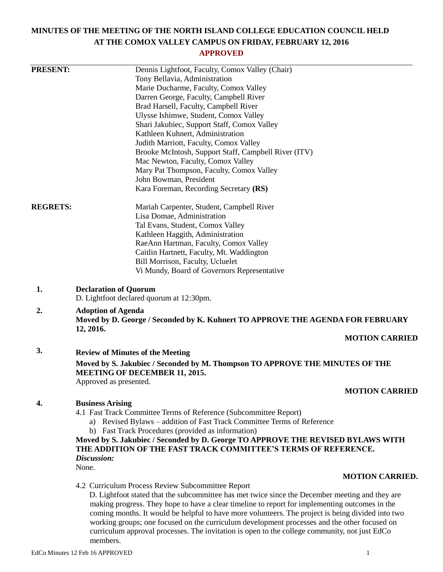# **MINUTES OF THE MEETING OF THE NORTH ISLAND COLLEGE EDUCATION COUNCIL HELD AT THE COMOX VALLEY CAMPUS ON FRIDAY, FEBRUARY 12, 2016**

### **APPROVED**

| <b>PRESENT:</b> | Dennis Lightfoot, Faculty, Comox Valley (Chair)                                                                      |
|-----------------|----------------------------------------------------------------------------------------------------------------------|
|                 | Tony Bellavia, Administration                                                                                        |
|                 | Marie Ducharme, Faculty, Comox Valley                                                                                |
|                 | Darren George, Faculty, Campbell River                                                                               |
|                 | Brad Harsell, Faculty, Campbell River                                                                                |
|                 | Ulysse Ishimwe, Student, Comox Valley                                                                                |
|                 | Shari Jakubiec, Support Staff, Comox Valley                                                                          |
|                 | Kathleen Kuhnert, Administration                                                                                     |
|                 | Judith Marriott, Faculty, Comox Valley                                                                               |
|                 | Brooke McIntosh, Support Staff, Campbell River (ITV)                                                                 |
|                 | Mac Newton, Faculty, Comox Valley                                                                                    |
|                 | Mary Pat Thompson, Faculty, Comox Valley<br>John Bowman, President                                                   |
|                 | Kara Foreman, Recording Secretary (RS)                                                                               |
|                 |                                                                                                                      |
| <b>REGRETS:</b> | Mariah Carpenter, Student, Campbell River                                                                            |
|                 | Lisa Domae, Administration                                                                                           |
|                 | Tal Evans, Student, Comox Valley                                                                                     |
|                 | Kathleen Haggith, Administration                                                                                     |
|                 | RaeAnn Hartman, Faculty, Comox Valley                                                                                |
|                 | Caitlin Hartnett, Faculty, Mt. Waddington                                                                            |
|                 | Bill Morrison, Faculty, Ucluelet                                                                                     |
|                 | Vi Mundy, Board of Governors Representative                                                                          |
| 1.              | <b>Declaration of Quorum</b>                                                                                         |
|                 | D. Lightfoot declared quorum at 12:30pm.                                                                             |
| 2.              | <b>Adoption of Agenda</b>                                                                                            |
|                 | Moved by D. George / Seconded by K. Kuhnert TO APPROVE THE AGENDA FOR FEBRUARY                                       |
|                 | 12, 2016.                                                                                                            |
|                 | <b>MOTION CARRIED</b>                                                                                                |
| 3.              | <b>Review of Minutes of the Meeting</b>                                                                              |
|                 | Moved by S. Jakubiec / Seconded by M. Thompson TO APPROVE THE MINUTES OF THE<br><b>MEETING OF DECEMBER 11, 2015.</b> |
|                 | Approved as presented.                                                                                               |
|                 | <b>MOTION CARRIED</b>                                                                                                |
| 4.              | <b>Business Arising</b>                                                                                              |
|                 | 4.1 Fast Track Committee Terms of Reference (Subcommittee Report)                                                    |
|                 | a) Revised Bylaws – addition of Fast Track Committee Terms of Reference                                              |
|                 | b) Fast Track Procedures (provided as information)                                                                   |
|                 | Moved by S. Jakubiec / Seconded by D. George TO APPROVE THE REVISED BYLAWS WITH                                      |
|                 | THE ADDITION OF THE FAST TRACK COMMITTEE'S TERMS OF REFERENCE.<br>Discussion:                                        |
|                 | None.                                                                                                                |
|                 | <b>MOTION CARRIED.</b>                                                                                               |
|                 | 4.2 Curriculum Process Review Subcommittee Report                                                                    |
|                 | D. Lightfoot stated that the subcommittee has met twice since the December meeting and they are                      |
|                 | making progress. They hope to have a clear timeline to report for implementing outcomes in the                       |
|                 | coming months. It would be helpful to have more volunteers. The project is being divided into two                    |
|                 | working groups; one focused on the curriculum development processes and the other focused on                         |
|                 | curriculum approval processes. The invitation is open to the college community, not just EdCo                        |
|                 | members.                                                                                                             |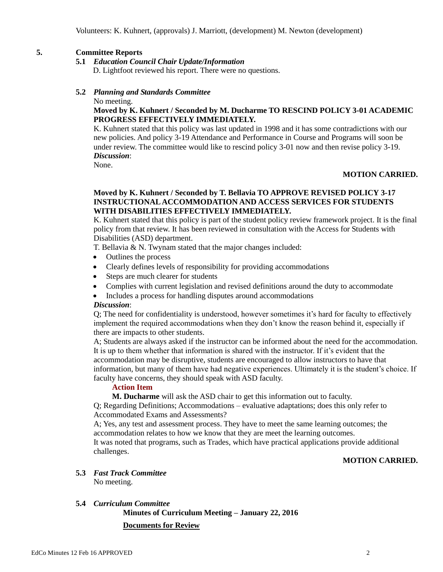#### **5. Committee Reports**

#### **5.1** *Education Council Chair Update/Information*

D. Lightfoot reviewed his report. There were no questions.

#### **5.2** *Planning and Standards Committee*

No meeting.

#### **Moved by K. Kuhnert / Seconded by M. Ducharme TO RESCIND POLICY 3-01 ACADEMIC PROGRESS EFFECTIVELY IMMEDIATELY.**

K. Kuhnert stated that this policy was last updated in 1998 and it has some contradictions with our new policies. And policy 3-19 Attendance and Performance in Course and Programs will soon be under review. The committee would like to rescind policy 3-01 now and then revise policy 3-19. *Discussion*:

None.

#### **MOTION CARRIED.**

#### **Moved by K. Kuhnert / Seconded by T. Bellavia TO APPROVE REVISED POLICY 3-17 INSTRUCTIONAL ACCOMMODATION AND ACCESS SERVICES FOR STUDENTS WITH DISABILITIES EFFECTIVELY IMMEDIATELY.**

K. Kuhnert stated that this policy is part of the student policy review framework project. It is the final policy from that review. It has been reviewed in consultation with the Access for Students with Disabilities (ASD) department.

T. Bellavia & N. Twynam stated that the major changes included:

- Outlines the process
- Clearly defines levels of responsibility for providing accommodations
- Steps are much clearer for students
- Complies with current legislation and revised definitions around the duty to accommodate
- Includes a process for handling disputes around accommodations

#### *Discussion*:

Q; The need for confidentiality is understood, however sometimes it's hard for faculty to effectively implement the required accommodations when they don't know the reason behind it, especially if there are impacts to other students.

A; Students are always asked if the instructor can be informed about the need for the accommodation. It is up to them whether that information is shared with the instructor. If it's evident that the accommodation may be disruptive, students are encouraged to allow instructors to have that information, but many of them have had negative experiences. Ultimately it is the student's choice. If faculty have concerns, they should speak with ASD faculty.

#### **Action Item**

**M. Ducharme** will ask the ASD chair to get this information out to faculty.

Q; Regarding Definitions; Accommodations – evaluative adaptations; does this only refer to Accommodated Exams and Assessments?

A; Yes, any test and assessment process. They have to meet the same learning outcomes; the accommodation relates to how we know that they are meet the learning outcomes.

It was noted that programs, such as Trades, which have practical applications provide additional challenges.

#### **MOTION CARRIED.**

# **5.3** *Fast Track Committee*

No meeting.

### **5.4** *Curriculum Committee*

**Minutes of Curriculum Meeting – January 22, 2016 Documents for Review**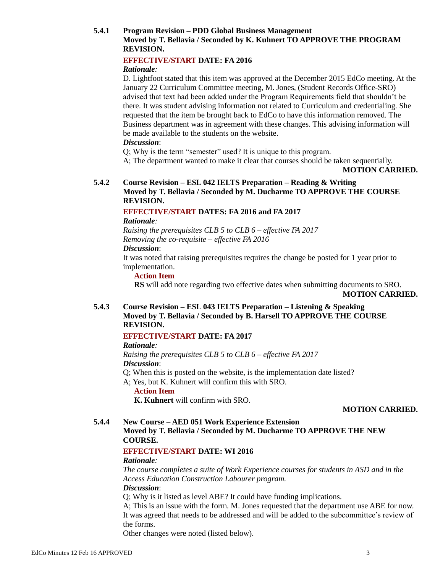#### **5.4.1 Program Revision – PDD Global Business Management Moved by T. Bellavia / Seconded by K. Kuhnert TO APPROVE THE PROGRAM REVISION.**

#### **EFFECTIVE/START DATE: FA 2016**

#### *Rationale:*

D. Lightfoot stated that this item was approved at the December 2015 EdCo meeting. At the January 22 Curriculum Committee meeting, M. Jones, (Student Records Office-SRO) advised that text had been added under the Program Requirements field that shouldn't be there. It was student advising information not related to Curriculum and credentialing. She requested that the item be brought back to EdCo to have this information removed. The Business department was in agreement with these changes. This advising information will be made available to the students on the website.

#### *Discussion*:

Q; Why is the term "semester" used? It is unique to this program.

A; The department wanted to make it clear that courses should be taken sequentially.

#### **5.4.2 Course Revision – ESL 042 IELTS Preparation – Reading & Writing Moved by T. Bellavia / Seconded by M. Ducharme TO APPROVE THE COURSE REVISION.**

#### **EFFECTIVE/START DATES: FA 2016 and FA 2017**

#### *Rationale:*

*Raising the prerequisites CLB 5 to CLB 6 – effective FA 2017 Removing the co-requisite – effective FA 2016 Discussion*:

It was noted that raising prerequisites requires the change be posted for 1 year prior to implementation.

#### **Action Item**

**RS** will add note regarding two effective dates when submitting documents to SRO.

#### **MOTION CARRIED.**

**5.4.3 Course Revision – ESL 043 IELTS Preparation – Listening & Speaking Moved by T. Bellavia / Seconded by B. Harsell TO APPROVE THE COURSE REVISION.**

#### **EFFECTIVE/START DATE: FA 2017**

#### *Rationale:*

*Raising the prerequisites CLB 5 to CLB 6 – effective FA 2017 Discussion*:

- Q; When this is posted on the website, is the implementation date listed?
- A; Yes, but K. Kuhnert will confirm this with SRO.

#### **Action Item**

**K. Kuhnert** will confirm with SRO.

#### **MOTION CARRIED.**

#### **5.4.4 New Course – AED 051 Work Experience Extension Moved by T. Bellavia / Seconded by M. Ducharme TO APPROVE THE NEW COURSE.**

### **EFFECTIVE/START DATE: WI 2016**

#### *Rationale:*

*The course completes a suite of Work Experience courses for students in ASD and in the Access Education Construction Labourer program.*

#### *Discussion*:

Q; Why is it listed as level ABE? It could have funding implications.

A; This is an issue with the form. M. Jones requested that the department use ABE for now. It was agreed that needs to be addressed and will be added to the subcommittee's review of the forms.

Other changes were noted (listed below).

**MOTION CARRIED.**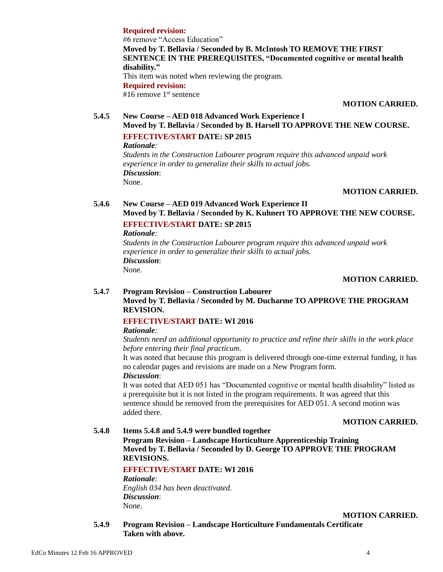#### **Required revision:**

#6 remove "Access Education" **Moved by T. Bellavia / Seconded by B. McIntosh TO REMOVE THE FIRST SENTENCE IN THE PREREQUISITES, "Documented cognitive or mental health disability."** This item was noted when reviewing the program. **Required revision:** #16 remove  $1<sup>st</sup>$  sentence

#### **MOTION CARRIED.**

### **5.4.5 New Course – AED 018 Advanced Work Experience I Moved by T. Bellavia / Seconded by B. Harsell TO APPROVE THE NEW COURSE.**

# **EFFECTIVE/START DATE: SP 2015**

*Rationale:*

*Students in the Construction Labourer program require this advanced unpaid work experience in order to generalize their skills to actual jobs. Discussion*: None.

#### **MOTION CARRIED.**

# **5.4.6 New Course – AED 019 Advanced Work Experience II Moved by T. Bellavia / Seconded by K. Kuhnert TO APPROVE THE NEW COURSE.**

## **EFFECTIVE/START DATE: SP 2015**

*Rationale:*

*Students in the Construction Labourer program require this advanced unpaid work experience in order to generalize their skills to actual jobs. Discussion*: None.

#### **MOTION CARRIED.**

#### **5.4.7 Program Revision – Construction Labourer**

**Moved by T. Bellavia / Seconded by M. Ducharme TO APPROVE THE PROGRAM REVISION.**

### **EFFECTIVE/START DATE: WI 2016**

#### *Rationale:*

*Students need an additional opportunity to practice and refine their skills in the work place before entering their final practicum.*

It was noted that because this program is delivered through one-time external funding, it has no calendar pages and revisions are made on a New Program form.

#### *Discussion*:

It was noted that AED 051 has "Documented cognitive or mental health disability" listed as a prerequisite but it is not listed in the program requirements. It was agreed that this sentence should be removed from the prerequisites for AED 051. A second motion was added there.

#### **MOTION CARRIED.**

# **5.4.8 Items 5.4.8 and 5.4.9 were bundled together**

**Program Revision – Landscape Horticulture Apprenticeship Training Moved by T. Bellavia / Seconded by D. George TO APPROVE THE PROGRAM REVISIONS.**

### **EFFECTIVE/START DATE: WI 2016**

*Rationale: English 034 has been deactivated. Discussion*: None.

**MOTION CARRIED.**

**5.4.9 Program Revision – Landscape Horticulture Fundamentals Certificate Taken with above.**